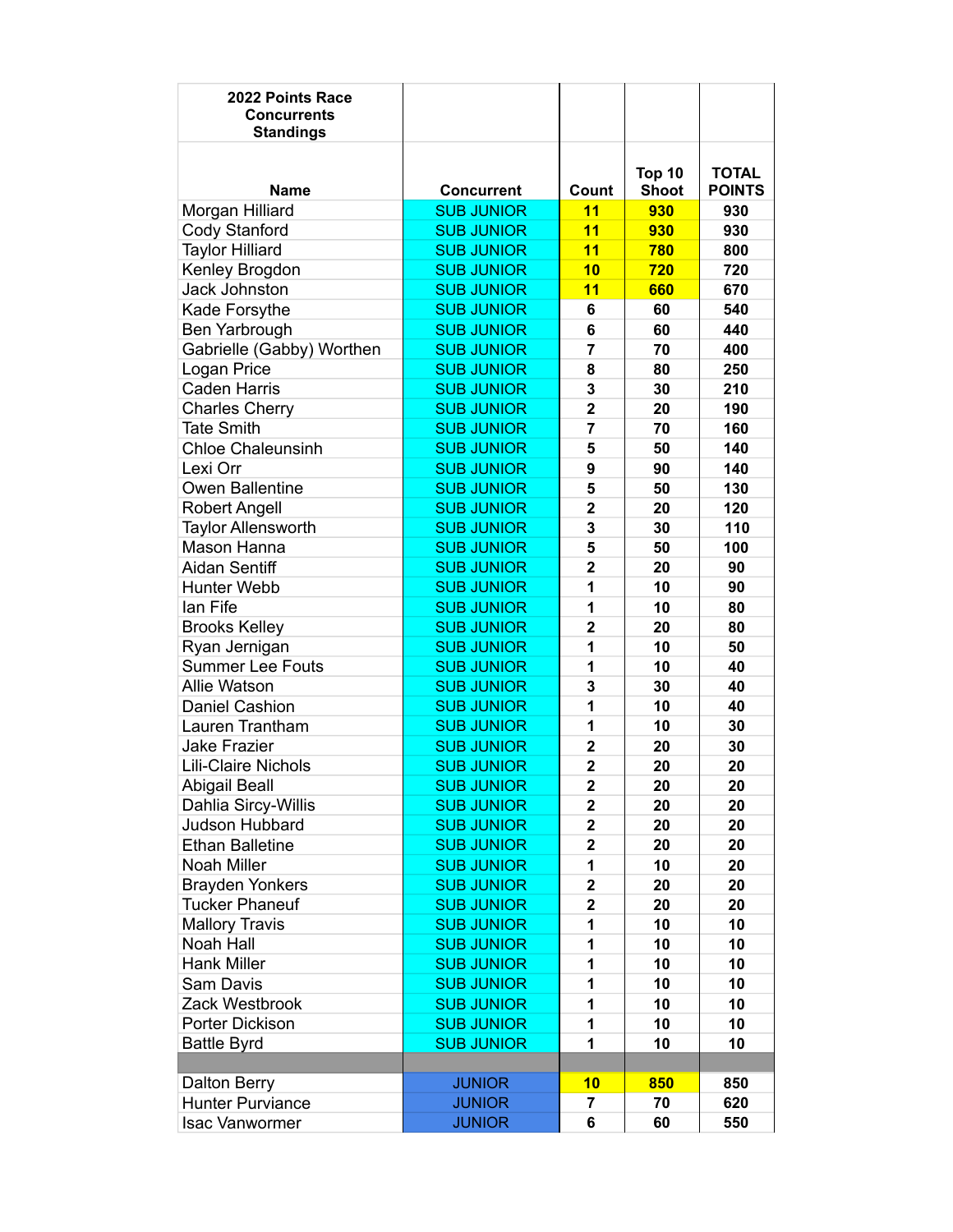| Top 10<br><b>TOTAL</b><br><b>Shoot</b><br><b>POINTS</b><br><b>Name</b><br><b>Concurrent</b><br>Count<br><b>SUB JUNIOR</b><br>11<br>930<br>930<br>Morgan Hilliard<br>11<br>Cody Stanford<br>930<br>930<br><b>SUB JUNIOR</b><br>11<br><b>Taylor Hilliard</b><br><b>SUB JUNIOR</b><br>780<br>800<br>10<br>Kenley Brogdon<br><b>SUB JUNIOR</b><br>720<br>720<br><b>Jack Johnston</b><br><b>SUB JUNIOR</b><br>11<br>670<br>660<br><b>SUB JUNIOR</b><br>60<br>540<br>Kade Forsythe<br>6<br>Ben Yarbrough<br><b>SUB JUNIOR</b><br>440<br>6<br>60<br>Gabrielle (Gabby) Worthen<br><b>SUB JUNIOR</b><br>$\overline{7}$<br>70<br>400<br>80<br>250<br>Logan Price<br><b>SUB JUNIOR</b><br>8<br>3<br><b>Caden Harris</b><br><b>SUB JUNIOR</b><br>30<br>210<br>$\overline{\mathbf{2}}$<br><b>SUB JUNIOR</b><br>20<br>190<br><b>Charles Cherry</b><br><b>Tate Smith</b><br><b>SUB JUNIOR</b><br>$\overline{7}$<br>70<br>160<br><b>Chloe Chaleunsinh</b><br><b>SUB JUNIOR</b><br>5<br>140<br>50<br>Lexi Orr<br><b>SUB JUNIOR</b><br>9<br>90<br>140<br>Owen Ballentine<br><b>SUB JUNIOR</b><br>130<br>5<br>50<br><b>SUB JUNIOR</b><br>$\overline{2}$<br>20<br>120<br><b>Robert Angell</b><br><b>Taylor Allensworth</b><br>3<br>30<br>110<br><b>SUB JUNIOR</b><br>Mason Hanna<br>5<br><b>SUB JUNIOR</b><br>50<br>100<br>Aidan Sentiff<br>$\overline{\mathbf{2}}$<br><b>SUB JUNIOR</b><br>20<br>90<br>1<br><b>Hunter Webb</b><br><b>SUB JUNIOR</b><br>10<br>90<br>1<br><b>SUB JUNIOR</b><br>10<br>lan Fife<br>80<br><b>SUB JUNIOR</b><br>$\overline{\mathbf{2}}$<br><b>Brooks Kelley</b><br>20<br>80<br><b>SUB JUNIOR</b><br>10<br>Ryan Jernigan<br>1<br>50<br><b>Summer Lee Fouts</b><br><b>SUB JUNIOR</b><br>10<br>1<br>40<br><b>Allie Watson</b><br>3<br>30<br>40<br><b>SUB JUNIOR</b><br><b>Daniel Cashion</b><br><b>SUB JUNIOR</b><br>1<br>10<br>40<br><b>SUB JUNIOR</b><br>1<br>Lauren Trantham<br>10<br>30<br><b>SUB JUNIOR</b><br>$\overline{\mathbf{2}}$<br><b>Jake Frazier</b><br>20<br>30<br><b>Lili-Claire Nichols</b><br><b>SUB JUNIOR</b><br>$\overline{2}$<br>20<br>20<br><b>Abigail Beall</b><br><b>SUB JUNIOR</b><br>2<br>20<br>20<br>Dahlia Sircy-Willis<br><b>SUB JUNIOR</b><br>$\mathbf 2$<br>20<br>20<br>Judson Hubbard<br><b>SUB JUNIOR</b><br>$\mathbf 2$<br>20<br>20<br><b>Ethan Balletine</b><br><b>SUB JUNIOR</b><br>20<br>20<br>$\mathbf{2}$<br>Noah Miller<br><b>SUB JUNIOR</b><br>1<br>10<br>20<br>$\overline{\mathbf{2}}$<br><b>SUB JUNIOR</b><br>20<br>20<br><b>Brayden Yonkers</b><br><b>Tucker Phaneuf</b><br><b>SUB JUNIOR</b><br>$\overline{\mathbf{2}}$<br>20<br>20<br><b>Mallory Travis</b><br><b>SUB JUNIOR</b><br>10<br>10<br>1<br>Noah Hall<br><b>SUB JUNIOR</b><br>10<br>10<br>1<br><b>SUB JUNIOR</b><br>10<br>Hank Miller<br>10<br>1<br><b>SUB JUNIOR</b><br>10<br>10<br>Sam Davis<br>1<br>10<br>10<br>Zack Westbrook<br><b>SUB JUNIOR</b><br>1<br><b>SUB JUNIOR</b><br>10<br>10<br>Porter Dickison<br>1<br><b>SUB JUNIOR</b><br>1<br>10<br>10<br><b>Battle Byrd</b><br><b>JUNIOR</b><br><b>Dalton Berry</b><br>10<br>850<br>850<br><b>JUNIOR</b><br>70<br>620<br><b>Hunter Purviance</b><br>7 | 2022 Points Race<br><b>Concurrents</b><br><b>Standings</b> |               |   |    |     |
|------------------------------------------------------------------------------------------------------------------------------------------------------------------------------------------------------------------------------------------------------------------------------------------------------------------------------------------------------------------------------------------------------------------------------------------------------------------------------------------------------------------------------------------------------------------------------------------------------------------------------------------------------------------------------------------------------------------------------------------------------------------------------------------------------------------------------------------------------------------------------------------------------------------------------------------------------------------------------------------------------------------------------------------------------------------------------------------------------------------------------------------------------------------------------------------------------------------------------------------------------------------------------------------------------------------------------------------------------------------------------------------------------------------------------------------------------------------------------------------------------------------------------------------------------------------------------------------------------------------------------------------------------------------------------------------------------------------------------------------------------------------------------------------------------------------------------------------------------------------------------------------------------------------------------------------------------------------------------------------------------------------------------------------------------------------------------------------------------------------------------------------------------------------------------------------------------------------------------------------------------------------------------------------------------------------------------------------------------------------------------------------------------------------------------------------------------------------------------------------------------------------------------------------------------------------------------------------------------------------------------------------------------------------------------------------------------------------------------------------------------------------------------------------------------------------------------------------------------------------------------------------------------------------------------------------------------------------------------------------------------------------------------------------------------------------------------------------------------------------------|------------------------------------------------------------|---------------|---|----|-----|
|                                                                                                                                                                                                                                                                                                                                                                                                                                                                                                                                                                                                                                                                                                                                                                                                                                                                                                                                                                                                                                                                                                                                                                                                                                                                                                                                                                                                                                                                                                                                                                                                                                                                                                                                                                                                                                                                                                                                                                                                                                                                                                                                                                                                                                                                                                                                                                                                                                                                                                                                                                                                                                                                                                                                                                                                                                                                                                                                                                                                                                                                                                                        |                                                            |               |   |    |     |
|                                                                                                                                                                                                                                                                                                                                                                                                                                                                                                                                                                                                                                                                                                                                                                                                                                                                                                                                                                                                                                                                                                                                                                                                                                                                                                                                                                                                                                                                                                                                                                                                                                                                                                                                                                                                                                                                                                                                                                                                                                                                                                                                                                                                                                                                                                                                                                                                                                                                                                                                                                                                                                                                                                                                                                                                                                                                                                                                                                                                                                                                                                                        |                                                            |               |   |    |     |
|                                                                                                                                                                                                                                                                                                                                                                                                                                                                                                                                                                                                                                                                                                                                                                                                                                                                                                                                                                                                                                                                                                                                                                                                                                                                                                                                                                                                                                                                                                                                                                                                                                                                                                                                                                                                                                                                                                                                                                                                                                                                                                                                                                                                                                                                                                                                                                                                                                                                                                                                                                                                                                                                                                                                                                                                                                                                                                                                                                                                                                                                                                                        |                                                            |               |   |    |     |
|                                                                                                                                                                                                                                                                                                                                                                                                                                                                                                                                                                                                                                                                                                                                                                                                                                                                                                                                                                                                                                                                                                                                                                                                                                                                                                                                                                                                                                                                                                                                                                                                                                                                                                                                                                                                                                                                                                                                                                                                                                                                                                                                                                                                                                                                                                                                                                                                                                                                                                                                                                                                                                                                                                                                                                                                                                                                                                                                                                                                                                                                                                                        |                                                            |               |   |    |     |
|                                                                                                                                                                                                                                                                                                                                                                                                                                                                                                                                                                                                                                                                                                                                                                                                                                                                                                                                                                                                                                                                                                                                                                                                                                                                                                                                                                                                                                                                                                                                                                                                                                                                                                                                                                                                                                                                                                                                                                                                                                                                                                                                                                                                                                                                                                                                                                                                                                                                                                                                                                                                                                                                                                                                                                                                                                                                                                                                                                                                                                                                                                                        |                                                            |               |   |    |     |
|                                                                                                                                                                                                                                                                                                                                                                                                                                                                                                                                                                                                                                                                                                                                                                                                                                                                                                                                                                                                                                                                                                                                                                                                                                                                                                                                                                                                                                                                                                                                                                                                                                                                                                                                                                                                                                                                                                                                                                                                                                                                                                                                                                                                                                                                                                                                                                                                                                                                                                                                                                                                                                                                                                                                                                                                                                                                                                                                                                                                                                                                                                                        |                                                            |               |   |    |     |
|                                                                                                                                                                                                                                                                                                                                                                                                                                                                                                                                                                                                                                                                                                                                                                                                                                                                                                                                                                                                                                                                                                                                                                                                                                                                                                                                                                                                                                                                                                                                                                                                                                                                                                                                                                                                                                                                                                                                                                                                                                                                                                                                                                                                                                                                                                                                                                                                                                                                                                                                                                                                                                                                                                                                                                                                                                                                                                                                                                                                                                                                                                                        |                                                            |               |   |    |     |
|                                                                                                                                                                                                                                                                                                                                                                                                                                                                                                                                                                                                                                                                                                                                                                                                                                                                                                                                                                                                                                                                                                                                                                                                                                                                                                                                                                                                                                                                                                                                                                                                                                                                                                                                                                                                                                                                                                                                                                                                                                                                                                                                                                                                                                                                                                                                                                                                                                                                                                                                                                                                                                                                                                                                                                                                                                                                                                                                                                                                                                                                                                                        |                                                            |               |   |    |     |
|                                                                                                                                                                                                                                                                                                                                                                                                                                                                                                                                                                                                                                                                                                                                                                                                                                                                                                                                                                                                                                                                                                                                                                                                                                                                                                                                                                                                                                                                                                                                                                                                                                                                                                                                                                                                                                                                                                                                                                                                                                                                                                                                                                                                                                                                                                                                                                                                                                                                                                                                                                                                                                                                                                                                                                                                                                                                                                                                                                                                                                                                                                                        |                                                            |               |   |    |     |
|                                                                                                                                                                                                                                                                                                                                                                                                                                                                                                                                                                                                                                                                                                                                                                                                                                                                                                                                                                                                                                                                                                                                                                                                                                                                                                                                                                                                                                                                                                                                                                                                                                                                                                                                                                                                                                                                                                                                                                                                                                                                                                                                                                                                                                                                                                                                                                                                                                                                                                                                                                                                                                                                                                                                                                                                                                                                                                                                                                                                                                                                                                                        |                                                            |               |   |    |     |
|                                                                                                                                                                                                                                                                                                                                                                                                                                                                                                                                                                                                                                                                                                                                                                                                                                                                                                                                                                                                                                                                                                                                                                                                                                                                                                                                                                                                                                                                                                                                                                                                                                                                                                                                                                                                                                                                                                                                                                                                                                                                                                                                                                                                                                                                                                                                                                                                                                                                                                                                                                                                                                                                                                                                                                                                                                                                                                                                                                                                                                                                                                                        |                                                            |               |   |    |     |
|                                                                                                                                                                                                                                                                                                                                                                                                                                                                                                                                                                                                                                                                                                                                                                                                                                                                                                                                                                                                                                                                                                                                                                                                                                                                                                                                                                                                                                                                                                                                                                                                                                                                                                                                                                                                                                                                                                                                                                                                                                                                                                                                                                                                                                                                                                                                                                                                                                                                                                                                                                                                                                                                                                                                                                                                                                                                                                                                                                                                                                                                                                                        |                                                            |               |   |    |     |
|                                                                                                                                                                                                                                                                                                                                                                                                                                                                                                                                                                                                                                                                                                                                                                                                                                                                                                                                                                                                                                                                                                                                                                                                                                                                                                                                                                                                                                                                                                                                                                                                                                                                                                                                                                                                                                                                                                                                                                                                                                                                                                                                                                                                                                                                                                                                                                                                                                                                                                                                                                                                                                                                                                                                                                                                                                                                                                                                                                                                                                                                                                                        |                                                            |               |   |    |     |
|                                                                                                                                                                                                                                                                                                                                                                                                                                                                                                                                                                                                                                                                                                                                                                                                                                                                                                                                                                                                                                                                                                                                                                                                                                                                                                                                                                                                                                                                                                                                                                                                                                                                                                                                                                                                                                                                                                                                                                                                                                                                                                                                                                                                                                                                                                                                                                                                                                                                                                                                                                                                                                                                                                                                                                                                                                                                                                                                                                                                                                                                                                                        |                                                            |               |   |    |     |
|                                                                                                                                                                                                                                                                                                                                                                                                                                                                                                                                                                                                                                                                                                                                                                                                                                                                                                                                                                                                                                                                                                                                                                                                                                                                                                                                                                                                                                                                                                                                                                                                                                                                                                                                                                                                                                                                                                                                                                                                                                                                                                                                                                                                                                                                                                                                                                                                                                                                                                                                                                                                                                                                                                                                                                                                                                                                                                                                                                                                                                                                                                                        |                                                            |               |   |    |     |
|                                                                                                                                                                                                                                                                                                                                                                                                                                                                                                                                                                                                                                                                                                                                                                                                                                                                                                                                                                                                                                                                                                                                                                                                                                                                                                                                                                                                                                                                                                                                                                                                                                                                                                                                                                                                                                                                                                                                                                                                                                                                                                                                                                                                                                                                                                                                                                                                                                                                                                                                                                                                                                                                                                                                                                                                                                                                                                                                                                                                                                                                                                                        |                                                            |               |   |    |     |
|                                                                                                                                                                                                                                                                                                                                                                                                                                                                                                                                                                                                                                                                                                                                                                                                                                                                                                                                                                                                                                                                                                                                                                                                                                                                                                                                                                                                                                                                                                                                                                                                                                                                                                                                                                                                                                                                                                                                                                                                                                                                                                                                                                                                                                                                                                                                                                                                                                                                                                                                                                                                                                                                                                                                                                                                                                                                                                                                                                                                                                                                                                                        |                                                            |               |   |    |     |
|                                                                                                                                                                                                                                                                                                                                                                                                                                                                                                                                                                                                                                                                                                                                                                                                                                                                                                                                                                                                                                                                                                                                                                                                                                                                                                                                                                                                                                                                                                                                                                                                                                                                                                                                                                                                                                                                                                                                                                                                                                                                                                                                                                                                                                                                                                                                                                                                                                                                                                                                                                                                                                                                                                                                                                                                                                                                                                                                                                                                                                                                                                                        |                                                            |               |   |    |     |
|                                                                                                                                                                                                                                                                                                                                                                                                                                                                                                                                                                                                                                                                                                                                                                                                                                                                                                                                                                                                                                                                                                                                                                                                                                                                                                                                                                                                                                                                                                                                                                                                                                                                                                                                                                                                                                                                                                                                                                                                                                                                                                                                                                                                                                                                                                                                                                                                                                                                                                                                                                                                                                                                                                                                                                                                                                                                                                                                                                                                                                                                                                                        |                                                            |               |   |    |     |
|                                                                                                                                                                                                                                                                                                                                                                                                                                                                                                                                                                                                                                                                                                                                                                                                                                                                                                                                                                                                                                                                                                                                                                                                                                                                                                                                                                                                                                                                                                                                                                                                                                                                                                                                                                                                                                                                                                                                                                                                                                                                                                                                                                                                                                                                                                                                                                                                                                                                                                                                                                                                                                                                                                                                                                                                                                                                                                                                                                                                                                                                                                                        |                                                            |               |   |    |     |
|                                                                                                                                                                                                                                                                                                                                                                                                                                                                                                                                                                                                                                                                                                                                                                                                                                                                                                                                                                                                                                                                                                                                                                                                                                                                                                                                                                                                                                                                                                                                                                                                                                                                                                                                                                                                                                                                                                                                                                                                                                                                                                                                                                                                                                                                                                                                                                                                                                                                                                                                                                                                                                                                                                                                                                                                                                                                                                                                                                                                                                                                                                                        |                                                            |               |   |    |     |
|                                                                                                                                                                                                                                                                                                                                                                                                                                                                                                                                                                                                                                                                                                                                                                                                                                                                                                                                                                                                                                                                                                                                                                                                                                                                                                                                                                                                                                                                                                                                                                                                                                                                                                                                                                                                                                                                                                                                                                                                                                                                                                                                                                                                                                                                                                                                                                                                                                                                                                                                                                                                                                                                                                                                                                                                                                                                                                                                                                                                                                                                                                                        |                                                            |               |   |    |     |
|                                                                                                                                                                                                                                                                                                                                                                                                                                                                                                                                                                                                                                                                                                                                                                                                                                                                                                                                                                                                                                                                                                                                                                                                                                                                                                                                                                                                                                                                                                                                                                                                                                                                                                                                                                                                                                                                                                                                                                                                                                                                                                                                                                                                                                                                                                                                                                                                                                                                                                                                                                                                                                                                                                                                                                                                                                                                                                                                                                                                                                                                                                                        |                                                            |               |   |    |     |
|                                                                                                                                                                                                                                                                                                                                                                                                                                                                                                                                                                                                                                                                                                                                                                                                                                                                                                                                                                                                                                                                                                                                                                                                                                                                                                                                                                                                                                                                                                                                                                                                                                                                                                                                                                                                                                                                                                                                                                                                                                                                                                                                                                                                                                                                                                                                                                                                                                                                                                                                                                                                                                                                                                                                                                                                                                                                                                                                                                                                                                                                                                                        |                                                            |               |   |    |     |
|                                                                                                                                                                                                                                                                                                                                                                                                                                                                                                                                                                                                                                                                                                                                                                                                                                                                                                                                                                                                                                                                                                                                                                                                                                                                                                                                                                                                                                                                                                                                                                                                                                                                                                                                                                                                                                                                                                                                                                                                                                                                                                                                                                                                                                                                                                                                                                                                                                                                                                                                                                                                                                                                                                                                                                                                                                                                                                                                                                                                                                                                                                                        |                                                            |               |   |    |     |
|                                                                                                                                                                                                                                                                                                                                                                                                                                                                                                                                                                                                                                                                                                                                                                                                                                                                                                                                                                                                                                                                                                                                                                                                                                                                                                                                                                                                                                                                                                                                                                                                                                                                                                                                                                                                                                                                                                                                                                                                                                                                                                                                                                                                                                                                                                                                                                                                                                                                                                                                                                                                                                                                                                                                                                                                                                                                                                                                                                                                                                                                                                                        |                                                            |               |   |    |     |
|                                                                                                                                                                                                                                                                                                                                                                                                                                                                                                                                                                                                                                                                                                                                                                                                                                                                                                                                                                                                                                                                                                                                                                                                                                                                                                                                                                                                                                                                                                                                                                                                                                                                                                                                                                                                                                                                                                                                                                                                                                                                                                                                                                                                                                                                                                                                                                                                                                                                                                                                                                                                                                                                                                                                                                                                                                                                                                                                                                                                                                                                                                                        |                                                            |               |   |    |     |
|                                                                                                                                                                                                                                                                                                                                                                                                                                                                                                                                                                                                                                                                                                                                                                                                                                                                                                                                                                                                                                                                                                                                                                                                                                                                                                                                                                                                                                                                                                                                                                                                                                                                                                                                                                                                                                                                                                                                                                                                                                                                                                                                                                                                                                                                                                                                                                                                                                                                                                                                                                                                                                                                                                                                                                                                                                                                                                                                                                                                                                                                                                                        |                                                            |               |   |    |     |
|                                                                                                                                                                                                                                                                                                                                                                                                                                                                                                                                                                                                                                                                                                                                                                                                                                                                                                                                                                                                                                                                                                                                                                                                                                                                                                                                                                                                                                                                                                                                                                                                                                                                                                                                                                                                                                                                                                                                                                                                                                                                                                                                                                                                                                                                                                                                                                                                                                                                                                                                                                                                                                                                                                                                                                                                                                                                                                                                                                                                                                                                                                                        |                                                            |               |   |    |     |
|                                                                                                                                                                                                                                                                                                                                                                                                                                                                                                                                                                                                                                                                                                                                                                                                                                                                                                                                                                                                                                                                                                                                                                                                                                                                                                                                                                                                                                                                                                                                                                                                                                                                                                                                                                                                                                                                                                                                                                                                                                                                                                                                                                                                                                                                                                                                                                                                                                                                                                                                                                                                                                                                                                                                                                                                                                                                                                                                                                                                                                                                                                                        |                                                            |               |   |    |     |
|                                                                                                                                                                                                                                                                                                                                                                                                                                                                                                                                                                                                                                                                                                                                                                                                                                                                                                                                                                                                                                                                                                                                                                                                                                                                                                                                                                                                                                                                                                                                                                                                                                                                                                                                                                                                                                                                                                                                                                                                                                                                                                                                                                                                                                                                                                                                                                                                                                                                                                                                                                                                                                                                                                                                                                                                                                                                                                                                                                                                                                                                                                                        |                                                            |               |   |    |     |
|                                                                                                                                                                                                                                                                                                                                                                                                                                                                                                                                                                                                                                                                                                                                                                                                                                                                                                                                                                                                                                                                                                                                                                                                                                                                                                                                                                                                                                                                                                                                                                                                                                                                                                                                                                                                                                                                                                                                                                                                                                                                                                                                                                                                                                                                                                                                                                                                                                                                                                                                                                                                                                                                                                                                                                                                                                                                                                                                                                                                                                                                                                                        |                                                            |               |   |    |     |
|                                                                                                                                                                                                                                                                                                                                                                                                                                                                                                                                                                                                                                                                                                                                                                                                                                                                                                                                                                                                                                                                                                                                                                                                                                                                                                                                                                                                                                                                                                                                                                                                                                                                                                                                                                                                                                                                                                                                                                                                                                                                                                                                                                                                                                                                                                                                                                                                                                                                                                                                                                                                                                                                                                                                                                                                                                                                                                                                                                                                                                                                                                                        |                                                            |               |   |    |     |
|                                                                                                                                                                                                                                                                                                                                                                                                                                                                                                                                                                                                                                                                                                                                                                                                                                                                                                                                                                                                                                                                                                                                                                                                                                                                                                                                                                                                                                                                                                                                                                                                                                                                                                                                                                                                                                                                                                                                                                                                                                                                                                                                                                                                                                                                                                                                                                                                                                                                                                                                                                                                                                                                                                                                                                                                                                                                                                                                                                                                                                                                                                                        |                                                            |               |   |    |     |
|                                                                                                                                                                                                                                                                                                                                                                                                                                                                                                                                                                                                                                                                                                                                                                                                                                                                                                                                                                                                                                                                                                                                                                                                                                                                                                                                                                                                                                                                                                                                                                                                                                                                                                                                                                                                                                                                                                                                                                                                                                                                                                                                                                                                                                                                                                                                                                                                                                                                                                                                                                                                                                                                                                                                                                                                                                                                                                                                                                                                                                                                                                                        |                                                            |               |   |    |     |
|                                                                                                                                                                                                                                                                                                                                                                                                                                                                                                                                                                                                                                                                                                                                                                                                                                                                                                                                                                                                                                                                                                                                                                                                                                                                                                                                                                                                                                                                                                                                                                                                                                                                                                                                                                                                                                                                                                                                                                                                                                                                                                                                                                                                                                                                                                                                                                                                                                                                                                                                                                                                                                                                                                                                                                                                                                                                                                                                                                                                                                                                                                                        |                                                            |               |   |    |     |
|                                                                                                                                                                                                                                                                                                                                                                                                                                                                                                                                                                                                                                                                                                                                                                                                                                                                                                                                                                                                                                                                                                                                                                                                                                                                                                                                                                                                                                                                                                                                                                                                                                                                                                                                                                                                                                                                                                                                                                                                                                                                                                                                                                                                                                                                                                                                                                                                                                                                                                                                                                                                                                                                                                                                                                                                                                                                                                                                                                                                                                                                                                                        |                                                            |               |   |    |     |
|                                                                                                                                                                                                                                                                                                                                                                                                                                                                                                                                                                                                                                                                                                                                                                                                                                                                                                                                                                                                                                                                                                                                                                                                                                                                                                                                                                                                                                                                                                                                                                                                                                                                                                                                                                                                                                                                                                                                                                                                                                                                                                                                                                                                                                                                                                                                                                                                                                                                                                                                                                                                                                                                                                                                                                                                                                                                                                                                                                                                                                                                                                                        |                                                            |               |   |    |     |
|                                                                                                                                                                                                                                                                                                                                                                                                                                                                                                                                                                                                                                                                                                                                                                                                                                                                                                                                                                                                                                                                                                                                                                                                                                                                                                                                                                                                                                                                                                                                                                                                                                                                                                                                                                                                                                                                                                                                                                                                                                                                                                                                                                                                                                                                                                                                                                                                                                                                                                                                                                                                                                                                                                                                                                                                                                                                                                                                                                                                                                                                                                                        |                                                            |               |   |    |     |
|                                                                                                                                                                                                                                                                                                                                                                                                                                                                                                                                                                                                                                                                                                                                                                                                                                                                                                                                                                                                                                                                                                                                                                                                                                                                                                                                                                                                                                                                                                                                                                                                                                                                                                                                                                                                                                                                                                                                                                                                                                                                                                                                                                                                                                                                                                                                                                                                                                                                                                                                                                                                                                                                                                                                                                                                                                                                                                                                                                                                                                                                                                                        |                                                            |               |   |    |     |
|                                                                                                                                                                                                                                                                                                                                                                                                                                                                                                                                                                                                                                                                                                                                                                                                                                                                                                                                                                                                                                                                                                                                                                                                                                                                                                                                                                                                                                                                                                                                                                                                                                                                                                                                                                                                                                                                                                                                                                                                                                                                                                                                                                                                                                                                                                                                                                                                                                                                                                                                                                                                                                                                                                                                                                                                                                                                                                                                                                                                                                                                                                                        |                                                            |               |   |    |     |
|                                                                                                                                                                                                                                                                                                                                                                                                                                                                                                                                                                                                                                                                                                                                                                                                                                                                                                                                                                                                                                                                                                                                                                                                                                                                                                                                                                                                                                                                                                                                                                                                                                                                                                                                                                                                                                                                                                                                                                                                                                                                                                                                                                                                                                                                                                                                                                                                                                                                                                                                                                                                                                                                                                                                                                                                                                                                                                                                                                                                                                                                                                                        |                                                            |               |   |    |     |
|                                                                                                                                                                                                                                                                                                                                                                                                                                                                                                                                                                                                                                                                                                                                                                                                                                                                                                                                                                                                                                                                                                                                                                                                                                                                                                                                                                                                                                                                                                                                                                                                                                                                                                                                                                                                                                                                                                                                                                                                                                                                                                                                                                                                                                                                                                                                                                                                                                                                                                                                                                                                                                                                                                                                                                                                                                                                                                                                                                                                                                                                                                                        |                                                            |               |   |    |     |
|                                                                                                                                                                                                                                                                                                                                                                                                                                                                                                                                                                                                                                                                                                                                                                                                                                                                                                                                                                                                                                                                                                                                                                                                                                                                                                                                                                                                                                                                                                                                                                                                                                                                                                                                                                                                                                                                                                                                                                                                                                                                                                                                                                                                                                                                                                                                                                                                                                                                                                                                                                                                                                                                                                                                                                                                                                                                                                                                                                                                                                                                                                                        |                                                            |               |   |    |     |
|                                                                                                                                                                                                                                                                                                                                                                                                                                                                                                                                                                                                                                                                                                                                                                                                                                                                                                                                                                                                                                                                                                                                                                                                                                                                                                                                                                                                                                                                                                                                                                                                                                                                                                                                                                                                                                                                                                                                                                                                                                                                                                                                                                                                                                                                                                                                                                                                                                                                                                                                                                                                                                                                                                                                                                                                                                                                                                                                                                                                                                                                                                                        |                                                            |               |   |    |     |
|                                                                                                                                                                                                                                                                                                                                                                                                                                                                                                                                                                                                                                                                                                                                                                                                                                                                                                                                                                                                                                                                                                                                                                                                                                                                                                                                                                                                                                                                                                                                                                                                                                                                                                                                                                                                                                                                                                                                                                                                                                                                                                                                                                                                                                                                                                                                                                                                                                                                                                                                                                                                                                                                                                                                                                                                                                                                                                                                                                                                                                                                                                                        |                                                            |               |   |    |     |
|                                                                                                                                                                                                                                                                                                                                                                                                                                                                                                                                                                                                                                                                                                                                                                                                                                                                                                                                                                                                                                                                                                                                                                                                                                                                                                                                                                                                                                                                                                                                                                                                                                                                                                                                                                                                                                                                                                                                                                                                                                                                                                                                                                                                                                                                                                                                                                                                                                                                                                                                                                                                                                                                                                                                                                                                                                                                                                                                                                                                                                                                                                                        |                                                            |               |   |    |     |
|                                                                                                                                                                                                                                                                                                                                                                                                                                                                                                                                                                                                                                                                                                                                                                                                                                                                                                                                                                                                                                                                                                                                                                                                                                                                                                                                                                                                                                                                                                                                                                                                                                                                                                                                                                                                                                                                                                                                                                                                                                                                                                                                                                                                                                                                                                                                                                                                                                                                                                                                                                                                                                                                                                                                                                                                                                                                                                                                                                                                                                                                                                                        |                                                            |               |   |    |     |
|                                                                                                                                                                                                                                                                                                                                                                                                                                                                                                                                                                                                                                                                                                                                                                                                                                                                                                                                                                                                                                                                                                                                                                                                                                                                                                                                                                                                                                                                                                                                                                                                                                                                                                                                                                                                                                                                                                                                                                                                                                                                                                                                                                                                                                                                                                                                                                                                                                                                                                                                                                                                                                                                                                                                                                                                                                                                                                                                                                                                                                                                                                                        | <b>Isac Vanwormer</b>                                      | <b>JUNIOR</b> | 6 | 60 | 550 |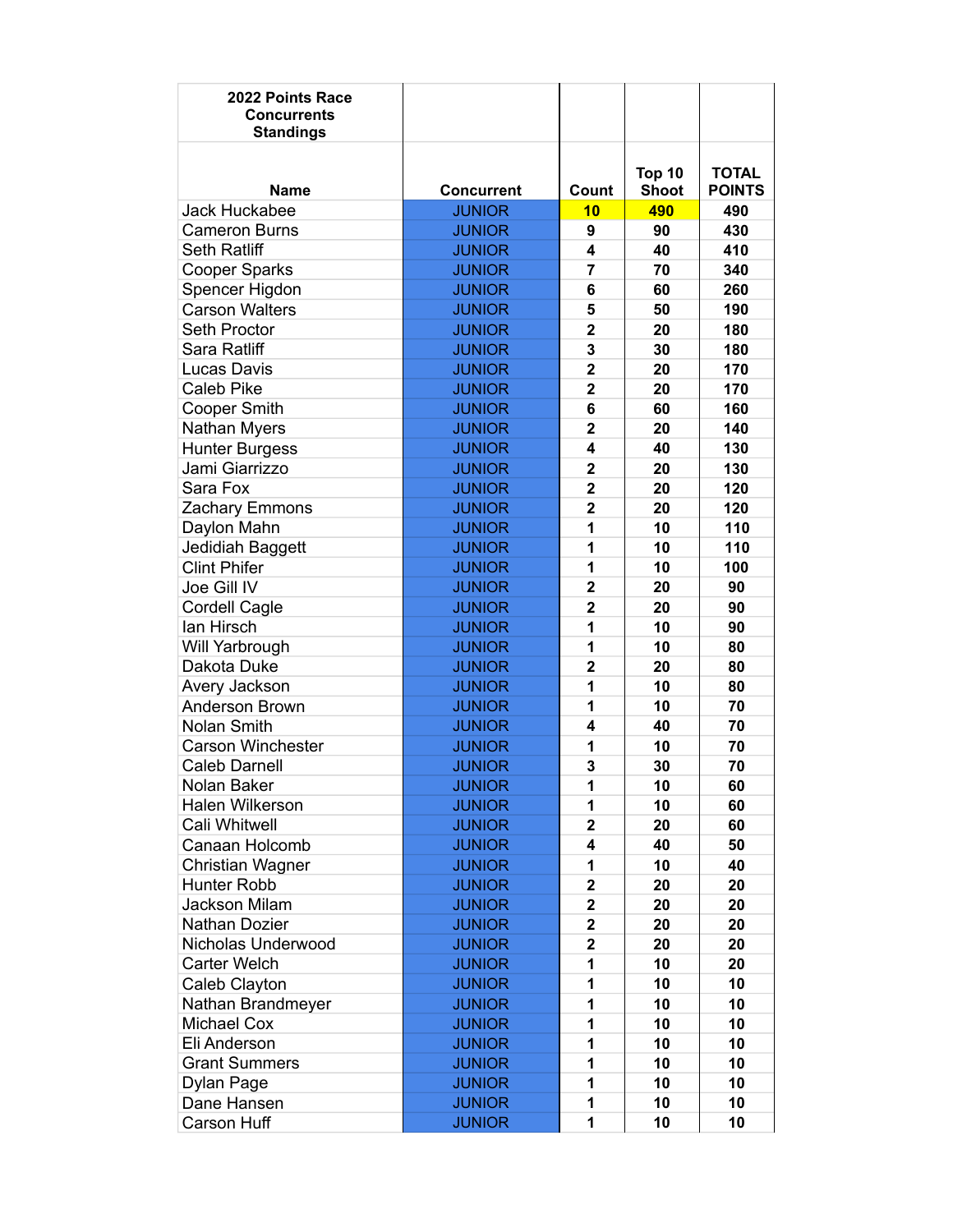| 2022 Points Race<br><b>Concurrents</b><br><b>Standings</b> |                   |                         |                        |                               |
|------------------------------------------------------------|-------------------|-------------------------|------------------------|-------------------------------|
| <b>Name</b>                                                | <b>Concurrent</b> | Count                   | Top 10<br><b>Shoot</b> | <b>TOTAL</b><br><b>POINTS</b> |
| <b>Jack Huckabee</b>                                       | <b>JUNIOR</b>     | 10                      | 490                    | 490                           |
| <b>Cameron Burns</b>                                       | <b>JUNIOR</b>     | 9                       | 90                     | 430                           |
| <b>Seth Ratliff</b>                                        | <b>JUNIOR</b>     | 4                       | 40                     | 410                           |
| <b>Cooper Sparks</b>                                       | <b>JUNIOR</b>     | $\overline{7}$          | 70                     | 340                           |
| Spencer Higdon                                             | <b>JUNIOR</b>     | 6                       | 60                     | 260                           |
| <b>Carson Walters</b>                                      | <b>JUNIOR</b>     | 5                       | 50                     | 190                           |
| <b>Seth Proctor</b>                                        | <b>JUNIOR</b>     | $\overline{2}$          | 20                     | 180                           |
| Sara Ratliff                                               | <b>JUNIOR</b>     | 3                       | 30                     | 180                           |
| Lucas Davis                                                | <b>JUNIOR</b>     | $\overline{2}$          | 20                     | 170                           |
| <b>Caleb Pike</b>                                          | <b>JUNIOR</b>     | $\overline{2}$          | 20                     | 170                           |
| <b>Cooper Smith</b>                                        | <b>JUNIOR</b>     | 6                       | 60                     | 160                           |
| Nathan Myers                                               | <b>JUNIOR</b>     | $\overline{2}$          | 20                     | 140                           |
| <b>Hunter Burgess</b>                                      | <b>JUNIOR</b>     | 4                       | 40                     | 130                           |
| Jami Giarrizzo                                             | <b>JUNIOR</b>     | $\mathbf{2}$            | 20                     | 130                           |
| Sara Fox                                                   | <b>JUNIOR</b>     | $\mathbf{2}$            | 20                     | 120                           |
| Zachary Emmons                                             | <b>JUNIOR</b>     | $\overline{2}$          | 20                     | 120                           |
| Daylon Mahn                                                | <b>JUNIOR</b>     | 1                       | 10                     | 110                           |
| Jedidiah Baggett                                           | <b>JUNIOR</b>     | 1                       | 10                     | 110                           |
| <b>Clint Phifer</b>                                        | <b>JUNIOR</b>     | 1                       | 10                     | 100                           |
| Joe Gill IV                                                | <b>JUNIOR</b>     | $\overline{2}$          | 20                     | 90                            |
| <b>Cordell Cagle</b>                                       | <b>JUNIOR</b>     | $\overline{2}$          | 20                     | 90                            |
| lan Hirsch                                                 | <b>JUNIOR</b>     | 1                       | 10                     | 90                            |
| Will Yarbrough                                             | <b>JUNIOR</b>     | 1                       | 10                     | 80                            |
| Dakota Duke                                                | <b>JUNIOR</b>     | $\overline{2}$          | 20                     | 80                            |
| Avery Jackson                                              | <b>JUNIOR</b>     | 1                       | 10                     | 80                            |
| Anderson Brown                                             | <b>JUNIOR</b>     | 1                       | 10                     | 70                            |
| <b>Nolan Smith</b>                                         | <b>JUNIOR</b>     | 4                       | 40                     | 70                            |
| <b>Carson Winchester</b>                                   | <b>JUNIOR</b>     | 1                       | 10                     | 70                            |
| <b>Caleb Darnell</b>                                       | <b>JUNIOR</b>     | 3                       | 30                     | 70                            |
| Nolan Baker                                                | <b>JUNIOR</b>     | 1                       | 10                     | 60                            |
| Halen Wilkerson                                            | <b>JUNIOR</b>     | 1                       | 10                     | 60                            |
| Cali Whitwell                                              | <b>JUNIOR</b>     | $\overline{2}$          | 20                     | 60                            |
| Canaan Holcomb                                             | <b>JUNIOR</b>     | 4                       | 40                     | 50                            |
| Christian Wagner                                           | <b>JUNIOR</b>     | 1                       | 10                     | 40                            |
| Hunter Robb                                                | <b>JUNIOR</b>     | $\overline{\mathbf{2}}$ | 20                     | 20                            |
| Jackson Milam                                              | <b>JUNIOR</b>     | $\overline{\mathbf{2}}$ | 20                     | 20                            |
| Nathan Dozier                                              | <b>JUNIOR</b>     | $\mathbf 2$             | 20                     | 20                            |
| Nicholas Underwood                                         | <b>JUNIOR</b>     | $\overline{\mathbf{2}}$ | 20                     | 20                            |
| Carter Welch                                               | <b>JUNIOR</b>     | 1                       | 10                     | 20                            |
| Caleb Clayton                                              | <b>JUNIOR</b>     | 1                       | 10                     | 10                            |
| Nathan Brandmeyer                                          | <b>JUNIOR</b>     | 1                       | 10                     | 10                            |
| Michael Cox                                                | <b>JUNIOR</b>     | 1                       | 10                     | 10                            |
| Eli Anderson                                               | <b>JUNIOR</b>     | 1                       | 10                     | 10                            |
| <b>Grant Summers</b>                                       | <b>JUNIOR</b>     | 1                       | 10                     | 10                            |
| Dylan Page                                                 | <b>JUNIOR</b>     | 1                       | 10                     | 10                            |
| Dane Hansen                                                | <b>JUNIOR</b>     | 1                       | 10                     | 10                            |
| Carson Huff                                                | <b>JUNIOR</b>     | 1                       | 10                     | 10                            |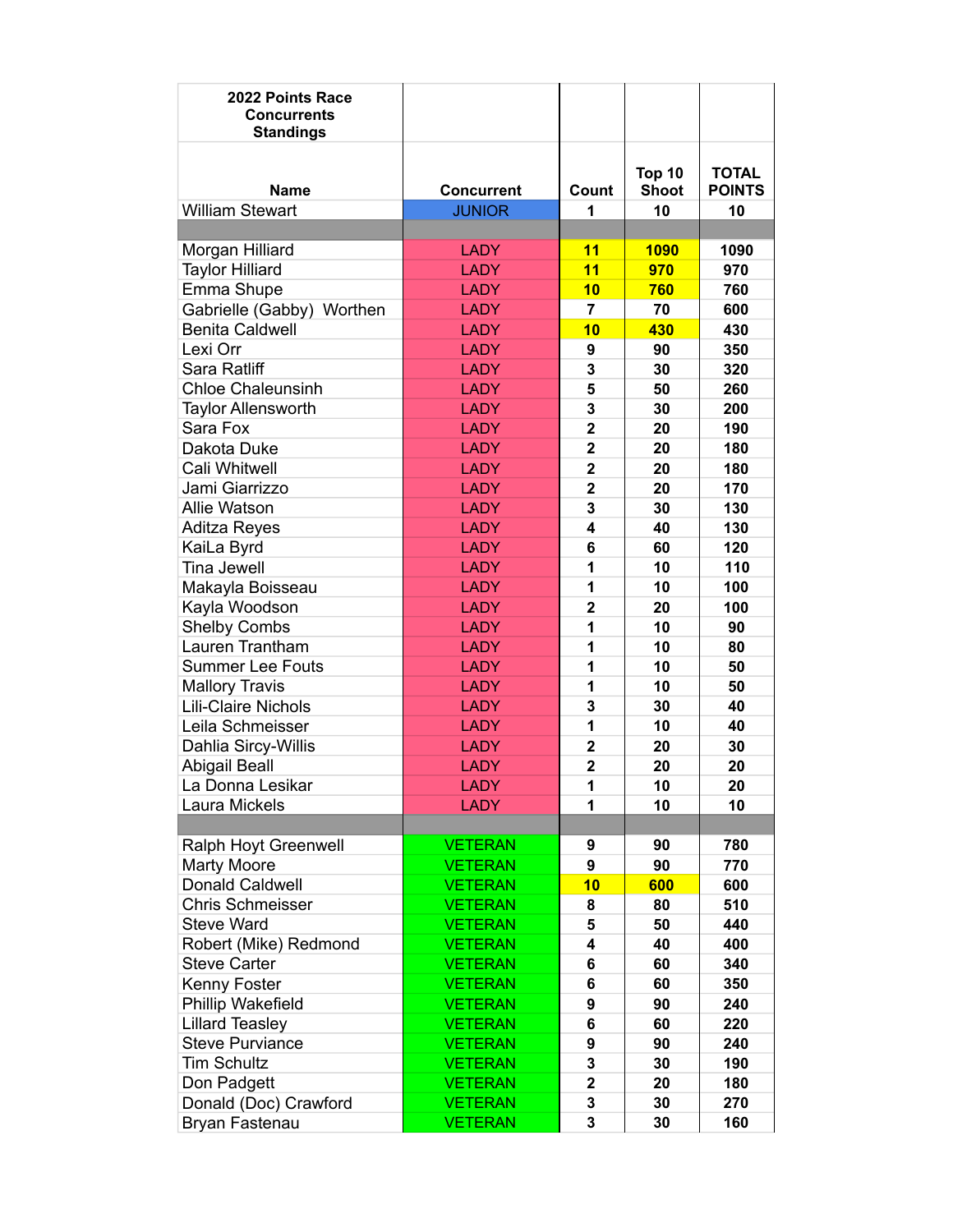| 2022 Points Race<br><b>Concurrents</b><br><b>Standings</b> |                                    |                         |                    |                     |
|------------------------------------------------------------|------------------------------------|-------------------------|--------------------|---------------------|
|                                                            |                                    |                         |                    |                     |
|                                                            |                                    |                         | Top 10             | <b>TOTAL</b>        |
| <b>Name</b><br><b>William Stewart</b>                      | <b>Concurrent</b><br><b>JUNIOR</b> | Count<br>1              | <b>Shoot</b><br>10 | <b>POINTS</b><br>10 |
|                                                            |                                    |                         |                    |                     |
| Morgan Hilliard                                            | <b>LADY</b>                        | 11                      | 1090               | 1090                |
| <b>Taylor Hilliard</b>                                     | <b>LADY</b>                        | 11                      | 970                | 970                 |
| Emma Shupe                                                 | <b>LADY</b>                        | 10                      | 760                | 760                 |
| Gabrielle (Gabby) Worthen                                  | <b>LADY</b>                        | $\overline{7}$          | 70                 | 600                 |
| <b>Benita Caldwell</b>                                     | <b>LADY</b>                        | 10                      | 430                | 430                 |
| Lexi Orr                                                   | <b>LADY</b>                        | 9                       | 90                 | 350                 |
| Sara Ratliff                                               | <b>LADY</b>                        | 3                       | 30                 | 320                 |
| <b>Chloe Chaleunsinh</b>                                   | <b>LADY</b>                        | 5                       | 50                 | 260                 |
| <b>Taylor Allensworth</b>                                  | <b>LADY</b>                        | 3                       | 30                 | 200                 |
| Sara Fox                                                   | <b>LADY</b>                        | $\overline{\mathbf{2}}$ | 20                 | 190                 |
| Dakota Duke                                                | <b>LADY</b>                        | $\overline{2}$          | 20                 | 180                 |
| Cali Whitwell                                              | <b>LADY</b>                        | $\overline{\mathbf{2}}$ | 20                 | 180                 |
| Jami Giarrizzo                                             | <b>LADY</b>                        | $\overline{\mathbf{2}}$ | 20                 | 170                 |
| <b>Allie Watson</b>                                        | <b>LADY</b>                        | 3                       | 30                 | 130                 |
|                                                            | <b>LADY</b>                        | 4                       | 40                 | 130                 |
| <b>Aditza Reyes</b>                                        | <b>LADY</b>                        | 6                       | 60                 | 120                 |
| KaiLa Byrd<br><b>Tina Jewell</b>                           | <b>LADY</b>                        | 1                       | 10                 | 110                 |
|                                                            | <b>LADY</b>                        | 1                       | 10                 | 100                 |
| Makayla Boisseau<br>Kayla Woodson                          | <b>LADY</b>                        | $\overline{2}$          | 20                 | 100                 |
| <b>Shelby Combs</b>                                        | <b>LADY</b>                        | 1                       | 10                 | 90                  |
| Lauren Trantham                                            | <b>LADY</b>                        | 1                       | 10                 | 80                  |
| <b>Summer Lee Fouts</b>                                    | <b>LADY</b>                        | 1                       | 10                 | 50                  |
|                                                            | <b>LADY</b>                        | 1                       | 10                 | 50                  |
| <b>Mallory Travis</b><br>Lili-Claire Nichols               | <b>LADY</b>                        | 3                       | 30                 | 40                  |
| Leila Schmeisser                                           | <b>LADY</b>                        | 1                       | 10                 | 40                  |
|                                                            | <b>LADY</b>                        | $\overline{\mathbf{2}}$ | 20                 | 30                  |
| Dahlia Sircy-Willis<br><b>Abigail Beall</b>                | <b>LADY</b>                        | $\overline{2}$          | 20                 | 20                  |
|                                                            |                                    |                         |                    |                     |
| La Donna Lesikar                                           | <b>LADY</b>                        | 1                       | 10                 | 20                  |
| Laura Mickels                                              | <b>LADY</b>                        | 1                       | 10                 | 10                  |
|                                                            |                                    |                         |                    |                     |
| Ralph Hoyt Greenwell                                       | <b>VETERAN</b>                     | 9<br>9                  | 90                 | 780                 |
| <b>Marty Moore</b>                                         | <b>VETERAN</b><br><b>VETERAN</b>   | 10                      | 90                 | 770                 |
| <b>Donald Caldwell</b>                                     |                                    |                         | 600                | 600                 |
| <b>Chris Schmeisser</b>                                    | <b>VETERAN</b>                     | 8                       | 80                 | 510                 |
| <b>Steve Ward</b>                                          | <b>VETERAN</b>                     | 5                       | 50                 | 440                 |
| Robert (Mike) Redmond                                      | <b>VETERAN</b>                     | 4                       | 40                 | 400                 |
| <b>Steve Carter</b>                                        | <b>VETERAN</b>                     | 6                       | 60                 | 340                 |
| Kenny Foster                                               | <b>VETERAN</b>                     | 6                       | 60                 | 350                 |
| Phillip Wakefield                                          | <b>VETERAN</b>                     | 9                       | 90                 | 240                 |
| <b>Lillard Teasley</b>                                     | <b>VETERAN</b>                     | 6                       | 60                 | 220                 |
| <b>Steve Purviance</b>                                     | <b>VETERAN</b>                     | 9                       | 90                 | 240                 |
| <b>Tim Schultz</b>                                         | <b>VETERAN</b>                     | 3                       | 30                 | 190                 |
| Don Padgett                                                | <b>VETERAN</b>                     | $\overline{\mathbf{2}}$ | 20                 | 180                 |
| Donald (Doc) Crawford                                      | <b>VETERAN</b>                     | 3                       | 30                 | 270                 |
| Bryan Fastenau                                             | <b>VETERAN</b>                     | 3                       | 30                 | 160                 |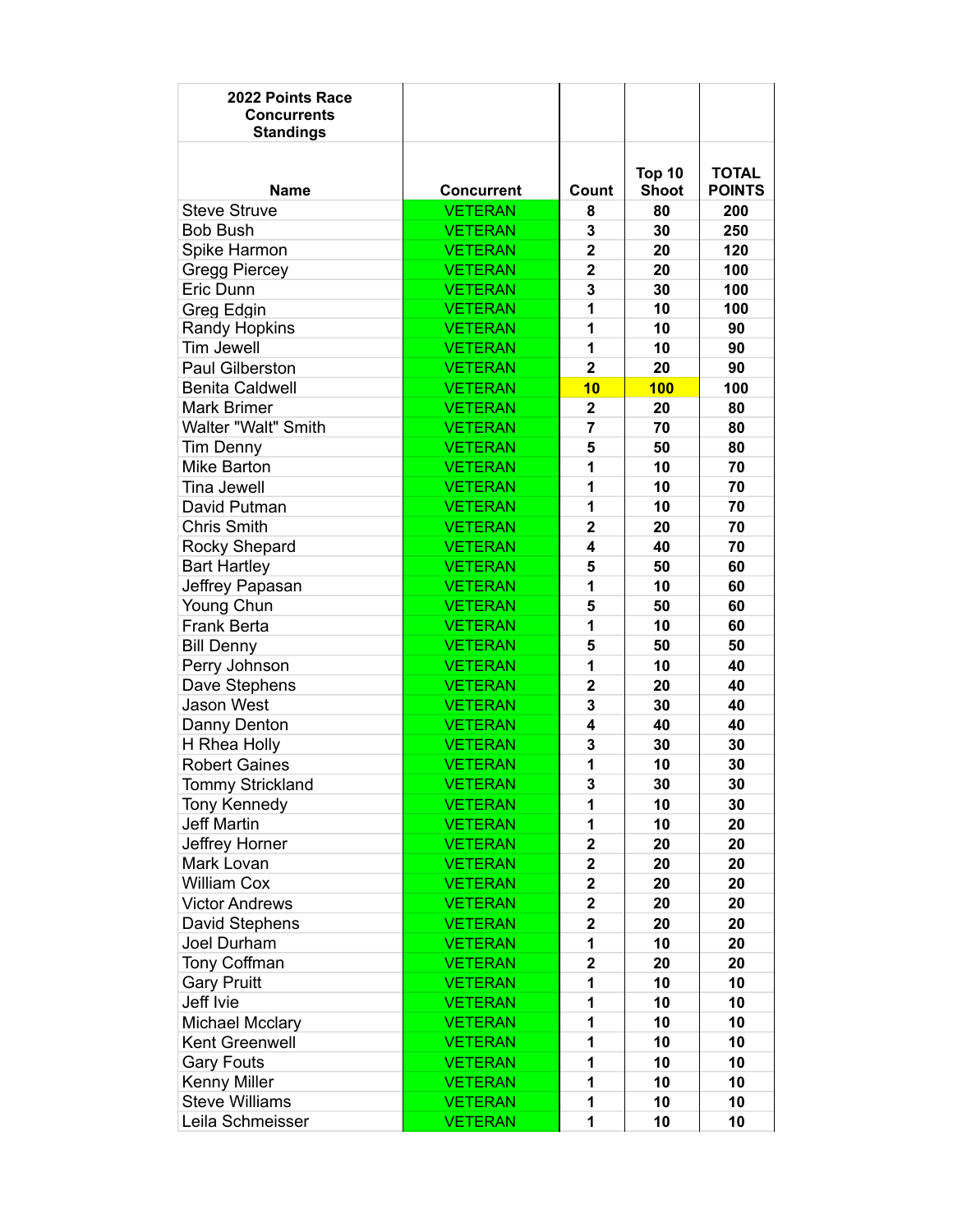| 2022 Points Race<br><b>Concurrents</b><br><b>Standings</b> |                   |                         |                        |                               |
|------------------------------------------------------------|-------------------|-------------------------|------------------------|-------------------------------|
| <b>Name</b>                                                | <b>Concurrent</b> | Count                   | Top 10<br><b>Shoot</b> | <b>TOTAL</b><br><b>POINTS</b> |
| <b>Steve Struve</b>                                        | <b>VETERAN</b>    | 8                       | 80                     | 200                           |
| <b>Bob Bush</b>                                            | <b>VETERAN</b>    | 3                       | 30                     | 250                           |
| Spike Harmon                                               | <b>VETERAN</b>    | $\overline{\mathbf{2}}$ | 20                     | 120                           |
| <b>Gregg Piercey</b>                                       | <b>VETERAN</b>    | $\overline{2}$          | 20                     | 100                           |
| Eric Dunn                                                  | <b>VETERAN</b>    | 3                       | 30                     | 100                           |
| Greg Edgin                                                 | <b>VETERAN</b>    | 1                       | 10                     | 100                           |
| <b>Randy Hopkins</b>                                       | <b>VETERAN</b>    | 1                       | 10                     | 90                            |
| <b>Tim Jewell</b>                                          | <b>VETERAN</b>    | 1                       | 10                     | 90                            |
| <b>Paul Gilberston</b>                                     | <b>VETERAN</b>    | $\overline{2}$          | 20                     | 90                            |
| <b>Benita Caldwell</b>                                     | <b>VETERAN</b>    | 10                      | <b>100</b>             | 100                           |
| <b>Mark Brimer</b>                                         | <b>VETERAN</b>    | $\mathbf{2}$            | 20                     | 80                            |
| Walter "Walt" Smith                                        | <b>VETERAN</b>    | 7                       | 70                     | 80                            |
| <b>Tim Denny</b>                                           | <b>VETERAN</b>    | 5                       | 50                     | 80                            |
| <b>Mike Barton</b>                                         | <b>VETERAN</b>    | 1                       | 10                     | 70                            |
| <b>Tina Jewell</b>                                         | <b>VETERAN</b>    | 1                       | 10                     | 70                            |
| David Putman                                               | <b>VETERAN</b>    | 1                       | 10                     | 70                            |
| <b>Chris Smith</b>                                         | <b>VETERAN</b>    | $\mathbf{2}$            | 20                     | 70                            |
| Rocky Shepard                                              | <b>VETERAN</b>    | 4                       | 40                     | 70                            |
| <b>Bart Hartley</b>                                        | <b>VETERAN</b>    | 5                       | 50                     | 60                            |
| Jeffrey Papasan                                            | <b>VETERAN</b>    | 1                       | 10                     | 60                            |
| Young Chun                                                 | <b>VETERAN</b>    | 5                       | 50                     | 60                            |
| <b>Frank Berta</b>                                         | <b>VETERAN</b>    | 1                       | 10                     | 60                            |
| <b>Bill Denny</b>                                          | <b>VETERAN</b>    | 5                       | 50                     | 50                            |
| Perry Johnson                                              | <b>VETERAN</b>    | 1                       | 10                     | 40                            |
| Dave Stephens                                              | <b>VETERAN</b>    | $\overline{2}$          | 20                     | 40                            |
| <b>Jason West</b>                                          | <b>VETERAN</b>    | 3                       | 30                     | 40                            |
| Danny Denton                                               | <b>VETERAN</b>    | 4                       | 40                     | 40                            |
| H Rhea Holly                                               | <b>VETERAN</b>    | 3                       | 30                     | 30                            |
| <b>Robert Gaines</b>                                       | <b>VETERAN</b>    | 1                       | 10                     | 30                            |
| Tommy Strickland                                           | <b>VETERAN</b>    | 3                       | 30                     | 30                            |
| <b>Tony Kennedy</b>                                        | <b>VETERAN</b>    | 1                       | 10                     | 30                            |
| <b>Jeff Martin</b>                                         | <b>VETERAN</b>    | 1                       | 10                     | 20                            |
| Jeffrey Horner                                             | <b>VETERAN</b>    | $\mathbf 2$             | 20                     | 20                            |
| Mark Lovan                                                 | <b>VETERAN</b>    | $\overline{\mathbf{2}}$ | 20                     | 20                            |
| <b>William Cox</b>                                         | <b>VETERAN</b>    | $\mathbf{2}$            | 20                     | 20                            |
| <b>Victor Andrews</b>                                      | <b>VETERAN</b>    | $\overline{\mathbf{2}}$ | 20                     | 20                            |
| David Stephens                                             | <b>VETERAN</b>    | $\overline{\mathbf{2}}$ | 20                     | 20                            |
| Joel Durham                                                | <b>VETERAN</b>    | 1                       | 10                     | 20                            |
| Tony Coffman                                               | <b>VETERAN</b>    | $\overline{\mathbf{c}}$ | 20                     | 20                            |
| <b>Gary Pruitt</b>                                         | <b>VETERAN</b>    | 1                       | 10                     | 10                            |
| Jeff Ivie                                                  | <b>VETERAN</b>    | 1                       | 10                     | 10                            |
| <b>Michael Mcclary</b>                                     | <b>VETERAN</b>    | 1                       | 10                     | 10                            |
| Kent Greenwell                                             | <b>VETERAN</b>    | 1                       | 10                     | 10                            |
| <b>Gary Fouts</b>                                          | <b>VETERAN</b>    | 1                       | 10                     | 10                            |
| Kenny Miller                                               | <b>VETERAN</b>    | 1                       | 10                     | 10                            |
| <b>Steve Williams</b>                                      | <b>VETERAN</b>    | 1                       | 10                     | 10                            |
| Leila Schmeisser                                           | <b>VETERAN</b>    | 1                       | 10                     | 10                            |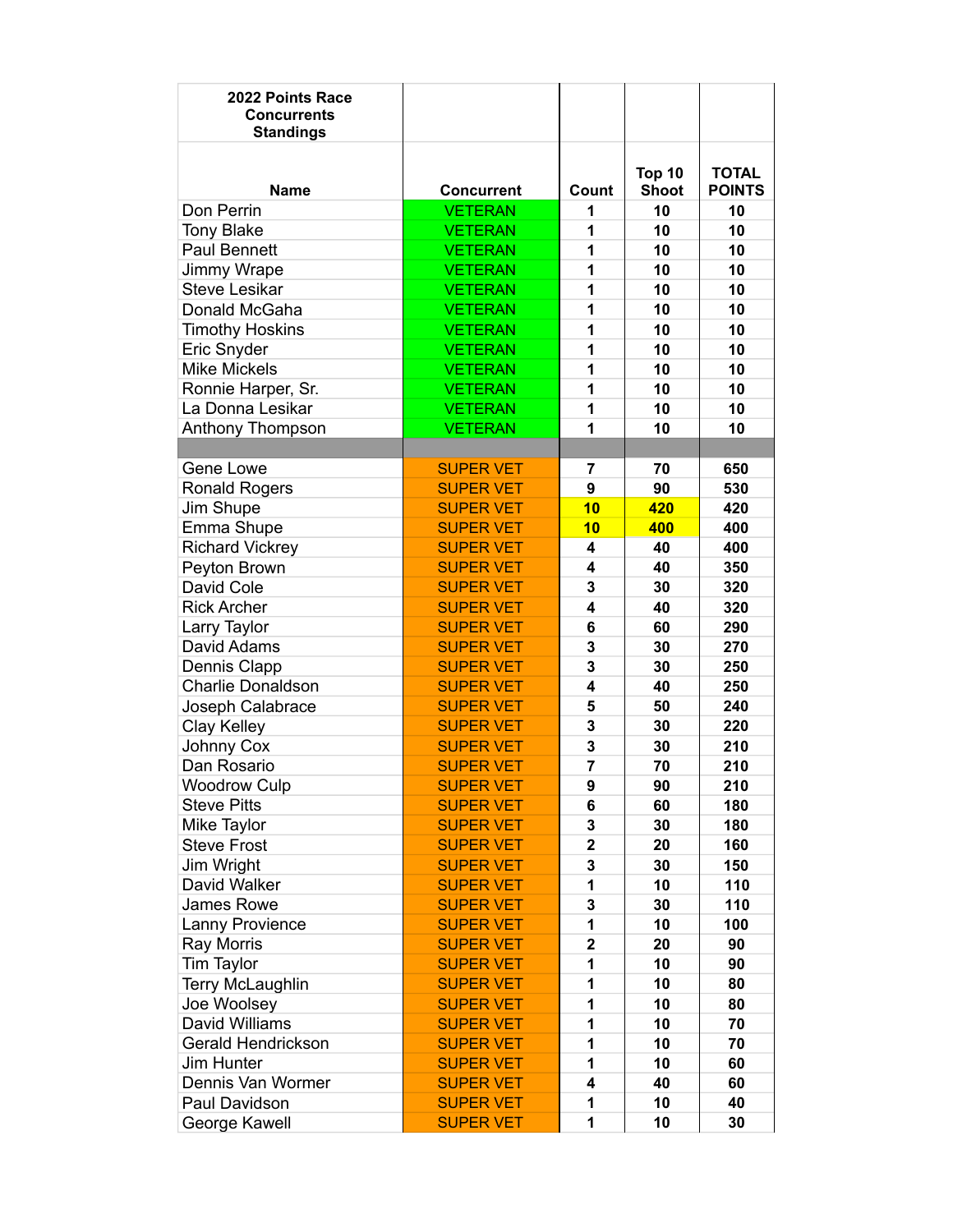| 2022 Points Race<br><b>Concurrents</b><br><b>Standings</b> |                   |                         |              |               |
|------------------------------------------------------------|-------------------|-------------------------|--------------|---------------|
|                                                            |                   |                         | Top 10       | <b>TOTAL</b>  |
| <b>Name</b>                                                | <b>Concurrent</b> | Count                   | <b>Shoot</b> | <b>POINTS</b> |
| Don Perrin                                                 | <b>VETERAN</b>    | 1                       | 10           | 10            |
| <b>Tony Blake</b>                                          | <b>VETERAN</b>    | 1                       | 10           | 10            |
| <b>Paul Bennett</b>                                        | <b>VETERAN</b>    | 1                       | 10           | 10            |
| Jimmy Wrape                                                | <b>VETERAN</b>    | 1                       | 10           | 10            |
| <b>Steve Lesikar</b>                                       | <b>VETERAN</b>    | 1                       | 10           | 10            |
| Donald McGaha                                              | <b>VETERAN</b>    | 1                       | 10           | 10            |
| <b>Timothy Hoskins</b>                                     | <b>VETERAN</b>    | 1                       | 10           | 10            |
| Eric Snyder                                                | <b>VETERAN</b>    | 1                       | 10           | 10            |
| <b>Mike Mickels</b>                                        | <b>VETERAN</b>    | 1                       | 10           | 10            |
| Ronnie Harper, Sr.                                         | <b>VETERAN</b>    | 1                       | 10           | 10            |
| La Donna Lesikar                                           | <b>VETERAN</b>    | 1                       | 10           | 10            |
| Anthony Thompson                                           | <b>VETERAN</b>    | 1                       | 10           | 10            |
|                                                            |                   |                         |              |               |
| Gene Lowe                                                  | <b>SUPER VET</b>  | 7                       | 70           | 650           |
| <b>Ronald Rogers</b>                                       | <b>SUPER VET</b>  | 9                       | 90           | 530           |
| Jim Shupe                                                  | <b>SUPER VET</b>  | 10                      | 420          | 420           |
| Emma Shupe                                                 | <b>SUPER VET</b>  | 10                      | 400          | 400           |
| <b>Richard Vickrey</b>                                     | <b>SUPER VET</b>  | 4                       | 40           | 400           |
| Peyton Brown                                               | <b>SUPER VET</b>  | $\overline{\mathbf{A}}$ | 40           | 350           |
| David Cole                                                 | <b>SUPER VET</b>  | 3                       | 30           | 320           |
| <b>Rick Archer</b>                                         | <b>SUPER VET</b>  | $\overline{\mathbf{4}}$ | 40           | 320           |
| Larry Taylor                                               | <b>SUPER VET</b>  | 6                       | 60           | 290           |
| David Adams                                                | <b>SUPER VET</b>  | 3                       | 30           | 270           |
| Dennis Clapp                                               | <b>SUPER VET</b>  | 3                       | 30           | 250           |
| <b>Charlie Donaldson</b>                                   | <b>SUPER VET</b>  | $\overline{\mathbf{A}}$ | 40           | 250           |
| Joseph Calabrace                                           | <b>SUPER VET</b>  | 5                       | 50           | 240           |
| Clay Kelley                                                | <b>SUPER VET</b>  | 3                       | 30           | 220           |
| Johnny Cox                                                 | <b>SUPER VET</b>  | 3                       | 30           | 210           |
| Dan Rosario                                                | <b>SUPER VET</b>  | $\overline{7}$          | 70           | 210           |
| <b>Woodrow Culp</b>                                        | <b>SUPER VET</b>  | 9                       | 90           | 210           |
| <b>Steve Pitts</b>                                         | <b>SUPER VET</b>  | 6                       | 60           | 180           |
| Mike Taylor                                                | <b>SUPER VET</b>  | 3                       | 30           | 180           |
| <b>Steve Frost</b>                                         | <b>SUPER VET</b>  | $\overline{2}$          | 20           | 160           |
| Jim Wright                                                 | <b>SUPER VET</b>  | 3                       | 30           | 150           |
| David Walker                                               | <b>SUPER VET</b>  | 1                       | 10           | 110           |
| James Rowe                                                 | <b>SUPER VET</b>  | 3                       | 30           | 110           |
| Lanny Provience                                            | <b>SUPER VET</b>  | 1                       | 10           | 100           |
| Ray Morris                                                 | <b>SUPER VET</b>  | $\overline{\mathbf{2}}$ | 20           | 90            |
| Tim Taylor                                                 | <b>SUPER VET</b>  | 1                       | 10           | 90            |
| <b>Terry McLaughlin</b>                                    | <b>SUPER VET</b>  | 1                       | 10           | 80            |
| Joe Woolsey                                                | <b>SUPER VET</b>  | 1                       | 10           | 80            |
| David Williams                                             | <b>SUPER VET</b>  | 1                       | 10           | 70            |
| Gerald Hendrickson                                         | <b>SUPER VET</b>  | 1                       | 10           | 70            |
| Jim Hunter                                                 | <b>SUPER VET</b>  | 1                       | 10           | 60            |
| Dennis Van Wormer                                          | <b>SUPER VET</b>  | $\overline{\mathbf{A}}$ | 40           | 60            |
| Paul Davidson                                              | <b>SUPER VET</b>  | 1                       | 10           | 40            |
| George Kawell                                              | <b>SUPER VET</b>  | 1                       | 10           | 30            |